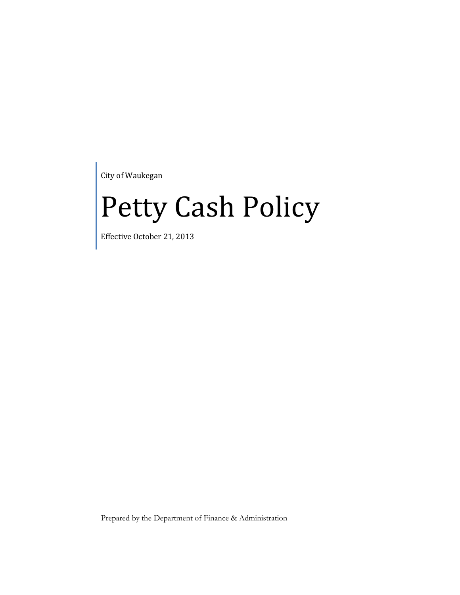City of Waukegan

# Petty Cash Policy

Effective October 21, 2013

Prepared by the Department of Finance & Administration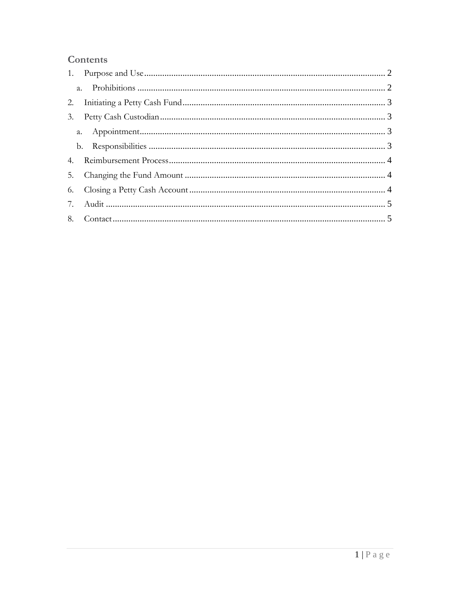# Contents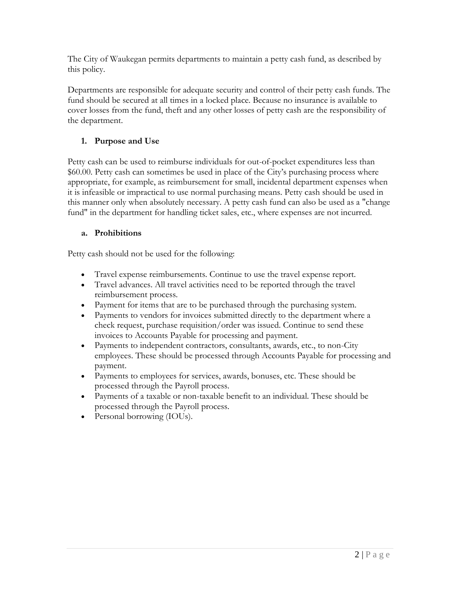The City of Waukegan permits departments to maintain a petty cash fund, as described by this policy.

Departments are responsible for adequate security and control of their petty cash funds. The fund should be secured at all times in a locked place. Because no insurance is available to cover losses from the fund, theft and any other losses of petty cash are the responsibility of the department.

# <span id="page-2-0"></span>**1. Purpose and Use**

Petty cash can be used to reimburse individuals for out-of-pocket expenditures less than \$60.00. Petty cash can sometimes be used in place of the City's purchasing process where appropriate, for example, as reimbursement for small, incidental department expenses when it is infeasible or impractical to use normal purchasing means. Petty cash should be used in this manner only when absolutely necessary. A petty cash fund can also be used as a "change fund" in the department for handling ticket sales, etc., where expenses are not incurred.

# <span id="page-2-1"></span>**a. Prohibitions**

Petty cash should not be used for the following:

- Travel expense reimbursements. Continue to use the travel expense report.
- Travel advances. All travel activities need to be reported through the travel reimbursement process.
- Payment for items that are to be purchased through the purchasing system.
- Payments to vendors for invoices submitted directly to the department where a check request, purchase requisition/order was issued. Continue to send these invoices to Accounts Payable for processing and payment.
- Payments to independent contractors, consultants, awards, etc., to non-City employees. These should be processed through Accounts Payable for processing and payment.
- Payments to employees for services, awards, bonuses, etc. These should be processed through the Payroll process.
- Payments of a taxable or non-taxable benefit to an individual. These should be processed through the Payroll process.
- Personal borrowing (IOUs).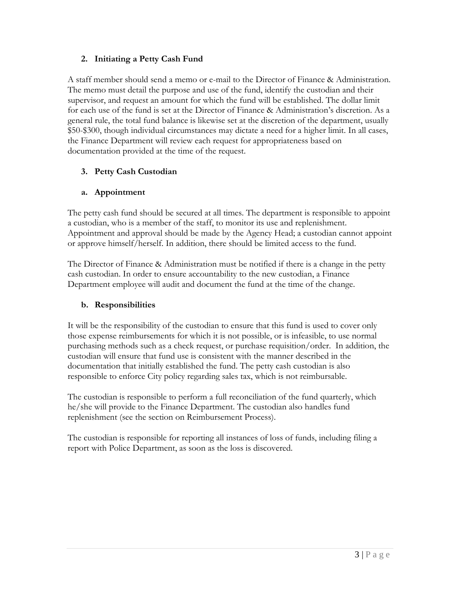# <span id="page-3-0"></span>**2. Initiating a Petty Cash Fund**

A staff member should send a memo or e-mail to the Director of Finance & Administration. The memo must detail the purpose and use of the fund, identify the custodian and their supervisor, and request an amount for which the fund will be established. The dollar limit for each use of the fund is set at the Director of Finance & Administration's discretion. As a general rule, the total fund balance is likewise set at the discretion of the department, usually \$50-\$300, though individual circumstances may dictate a need for a higher limit. In all cases, the Finance Department will review each request for appropriateness based on documentation provided at the time of the request.

# <span id="page-3-1"></span>**3. Petty Cash Custodian**

# <span id="page-3-2"></span>**a. Appointment**

The petty cash fund should be secured at all times. The department is responsible to appoint a custodian, who is a member of the staff, to monitor its use and replenishment. Appointment and approval should be made by the Agency Head; a custodian cannot appoint or approve himself/herself. In addition, there should be limited access to the fund.

The Director of Finance & Administration must be notified if there is a change in the petty cash custodian. In order to ensure accountability to the new custodian, a Finance Department employee will audit and document the fund at the time of the change.

#### <span id="page-3-3"></span>**b. Responsibilities**

It will be the responsibility of the custodian to ensure that this fund is used to cover only those expense reimbursements for which it is not possible, or is infeasible, to use normal purchasing methods such as a check request, or purchase requisition/order. In addition, the custodian will ensure that fund use is consistent with the manner described in the documentation that initially established the fund. The petty cash custodian is also responsible to enforce City policy regarding sales tax, which is not reimbursable.

The custodian is responsible to perform a full reconciliation of the fund quarterly, which he/she will provide to the Finance Department. The custodian also handles fund replenishment (see the section on [Reimbursement Process\)](http://www.cmu.edu/policies/documents/PettyCash.html#reimburse#reimburse).

The custodian is responsible for reporting all instances of loss of funds, including filing a report with Police Department, as soon as the loss is discovered.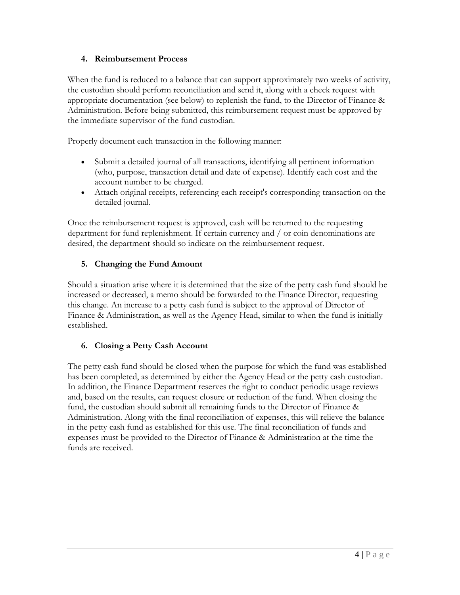# <span id="page-4-0"></span>**4. Reimbursement Process**

When the fund is reduced to a balance that can support approximately two weeks of activity, the custodian should perform reconciliation and send it, along with a check request with appropriate documentation (see below) to replenish the fund, to the Director of Finance & Administration. Before being submitted, this reimbursement request must be approved by the immediate supervisor of the fund custodian.

Properly document each transaction in the following manner:

- Submit a detailed journal of all transactions, identifying all pertinent information (who, purpose, transaction detail and date of expense). Identify each cost and the account number to be charged.
- Attach original receipts, referencing each receipt's corresponding transaction on the detailed journal.

Once the reimbursement request is approved, cash will be returned to the requesting department for fund replenishment. If certain currency and / or coin denominations are desired, the department should so indicate on the reimbursement request.

# <span id="page-4-1"></span>**5. Changing the Fund Amount**

Should a situation arise where it is determined that the size of the petty cash fund should be increased or decreased, a memo should be forwarded to the Finance Director, requesting this change. An increase to a petty cash fund is subject to the approval of Director of Finance & Administration, as well as the Agency Head, similar to when the fund is initially established.

# <span id="page-4-2"></span>**6. Closing a Petty Cash Account**

The petty cash fund should be closed when the purpose for which the fund was established has been completed, as determined by either the Agency Head or the petty cash custodian. In addition, the Finance Department reserves the right to conduct periodic usage reviews and, based on the results, can request closure or reduction of the fund. When closing the fund, the custodian should submit all remaining funds to the Director of Finance & Administration. Along with the final reconciliation of expenses, this will relieve the balance in the petty cash fund as established for this use. The final reconciliation of funds and expenses must be provided to the Director of Finance & Administration at the time the funds are received.